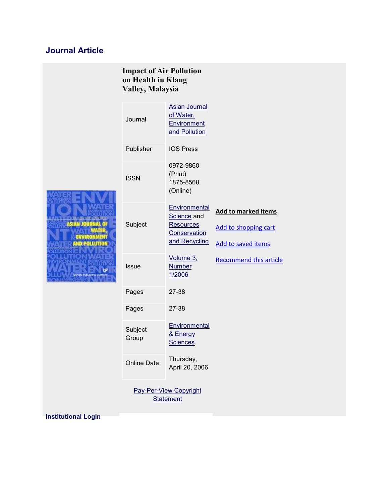## **Journal Article**

| <b>Impact of Air Pollution</b><br>on Health in Klang<br>Valley, Malaysia |                    |                                                                                   |                                                                          |
|--------------------------------------------------------------------------|--------------------|-----------------------------------------------------------------------------------|--------------------------------------------------------------------------|
| <b>OUT OF THE PARTY CONTRACT</b><br>ASIAN JOU<br>and Pollution<br>τ۶     | Journal            | <b>Asian Journal</b><br>of Water,<br>Environment<br>and Pollution                 |                                                                          |
|                                                                          | Publisher          | <b>IOS Press</b>                                                                  |                                                                          |
|                                                                          | <b>ISSN</b>        | 0972-9860<br>(Print)<br>1875-8568<br>(Online)                                     |                                                                          |
|                                                                          | Subject            | Environmental<br>Science and<br><b>Resources</b><br>Conservation<br>and Recycling | <b>Add to marked items</b><br>Add to shopping cart<br>Add to saved items |
|                                                                          | <b>Issue</b>       | Volume 3,<br><b>Number</b><br>1/2006                                              | <b>Recommend this article</b>                                            |
|                                                                          | Pages              | 27-38                                                                             |                                                                          |
|                                                                          | Pages              | 27-38                                                                             |                                                                          |
|                                                                          | Subject<br>Group   | Environmental<br>& Energy<br><b>Sciences</b>                                      |                                                                          |
|                                                                          | <b>Online Date</b> | Thursday,<br>April 20, 2006                                                       |                                                                          |
|                                                                          |                    | <b>Pay-Per-View Copyright</b><br><b>Statement</b>                                 |                                                                          |
| netitutional Login                                                       |                    |                                                                                   |                                                                          |

**Institutional Login**